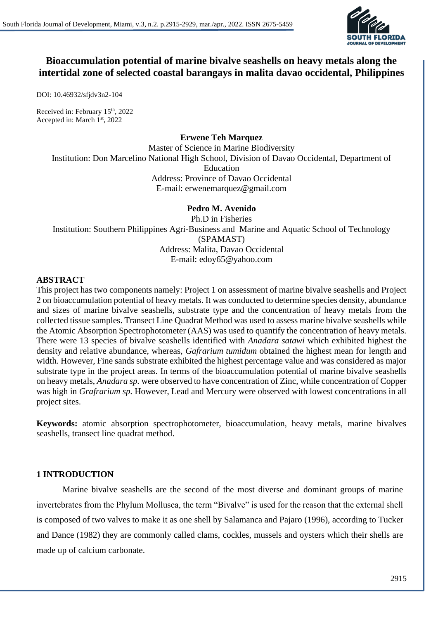

# **Bioaccumulation potential of marine bivalve seashells on heavy metals along the intertidal zone of selected coastal barangays in malita davao occidental, Philippines**

DOI: 10.46932/sfjdv3n2-104

Received in: February 15<sup>th</sup>, 2022 Accepted in: March 1st, 2022

#### **Erwene Teh Marquez**

Master of Science in Marine Biodiversity Institution: Don Marcelino National High School, Division of Davao Occidental, Department of Education Address: Province of Davao Occidental E-mail: erwenemarquez@gmail.com

#### **Pedro M. Avenido**

Ph.D in Fisheries Institution: Southern Philippines Agri-Business and Marine and Aquatic School of Technology (SPAMAST) Address: Malita, Davao Occidental E-mail: edoy65@yahoo.com

### **ABSTRACT**

This project has two components namely: Project 1 on assessment of marine bivalve seashells and Project 2 on bioaccumulation potential of heavy metals. It was conducted to determine species density, abundance and sizes of marine bivalve seashells, substrate type and the concentration of heavy metals from the collected tissue samples. Transect Line Quadrat Method was used to assess marine bivalve seashells while the Atomic Absorption Spectrophotometer (AAS) was used to quantify the concentration of heavy metals. There were 13 species of bivalve seashells identified with *Anadara satawi* which exhibited highest the density and relative abundance, whereas, *Gafrarium tumidum* obtained the highest mean for length and width. However, Fine sands substrate exhibited the highest percentage value and was considered as major substrate type in the project areas. In terms of the bioaccumulation potential of marine bivalve seashells on heavy metals, *Anadara sp.* were observed to have concentration of Zinc, while concentration of Copper was high in *Grafrarium sp.* However, Lead and Mercury were observed with lowest concentrations in all project sites.

**Keywords:** atomic absorption spectrophotometer, bioaccumulation, heavy metals, marine bivalves seashells, transect line quadrat method.

#### **1 INTRODUCTION**

Marine bivalve seashells are the second of the most diverse and dominant groups of marine invertebrates from the Phylum Mollusca, the term "Bivalve" is used for the reason that the external shell is composed of two valves to make it as one shell by Salamanca and Pajaro (1996), according to Tucker and Dance (1982) they are commonly called clams, cockles, mussels and oysters which their shells are made up of calcium carbonate.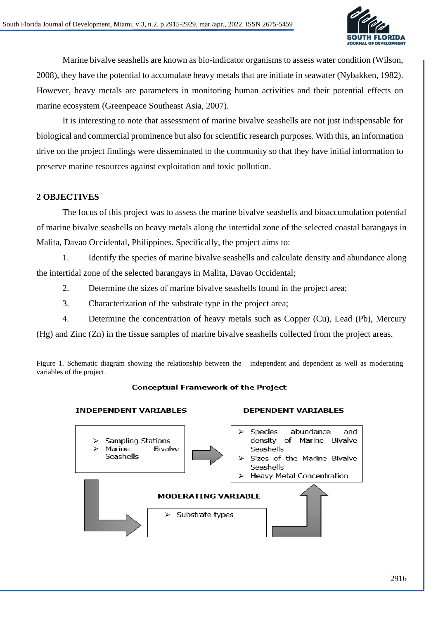

Marine bivalve seashells are known as bio-indicator organisms to assess water condition (Wilson, 2008), they have the potential to accumulate heavy metals that are initiate in seawater (Nybakken, 1982). However, heavy metals are parameters in monitoring human activities and their potential effects on marine ecosystem (Greenpeace Southeast Asia, 2007).

It is interesting to note that assessment of marine bivalve seashells are not just indispensable for biological and commercial prominence but also for scientific research purposes. With this, an information drive on the project findings were disseminated to the community so that they have initial information to preserve marine resources against exploitation and toxic pollution.

# **2 OBJECTIVES**

The focus of this project was to assess the marine bivalve seashells and bioaccumulation potential of marine bivalve seashells on heavy metals along the intertidal zone of the selected coastal barangays in Malita, Davao Occidental, Philippines. Specifically, the project aims to:

1. Identify the species of marine bivalve seashells and calculate density and abundance along the intertidal zone of the selected barangays in Malita, Davao Occidental;

- 2. Determine the sizes of marine bivalve seashells found in the project area;
- 3. Characterization of the substrate type in the project area;
- 4. Determine the concentration of heavy metals such as Copper (Cu), Lead (Pb), Mercury

(Hg) and Zinc (Zn) in the tissue samples of marine bivalve seashells collected from the project areas.

Figure 1. Schematic diagram showing the relationship between the independent and dependent as well as moderating variables of the project.

#### **Conceptual Framework of the Project**

#### **INDEPENDENT VARIABLES**



#### **DEPENDENT VARIABLES**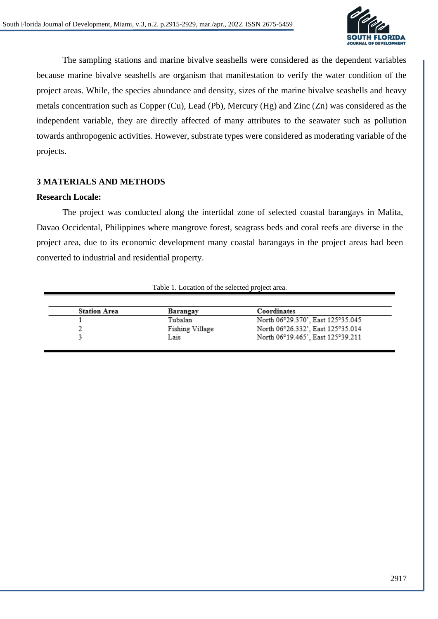

The sampling stations and marine bivalve seashells were considered as the dependent variables because marine bivalve seashells are organism that manifestation to verify the water condition of the project areas. While, the species abundance and density, sizes of the marine bivalve seashells and heavy metals concentration such as Copper (Cu), Lead (Pb), Mercury (Hg) and Zinc (Zn) was considered as the independent variable, they are directly affected of many attributes to the seawater such as pollution towards anthropogenic activities. However, substrate types were considered as moderating variable of the projects.

# **3 MATERIALS AND METHODS**

#### **Research Locale:**

The project was conducted along the intertidal zone of selected coastal barangays in Malita, Davao Occidental, Philippines where mangrove forest, seagrass beds and coral reefs are diverse in the project area, due to its economic development many coastal barangays in the project areas had been converted to industrial and residential property.

| <b>Station Area</b> | Barangay        | Coordinates                       |
|---------------------|-----------------|-----------------------------------|
|                     | Tubalan         | North 06°29.370', East 125°35.045 |
|                     | Fishing Village | North 06°26.332', East 125°35.014 |
|                     | Lais            | North 06°19.465', East 125°39.211 |

## Table 1. Location of the selected project area.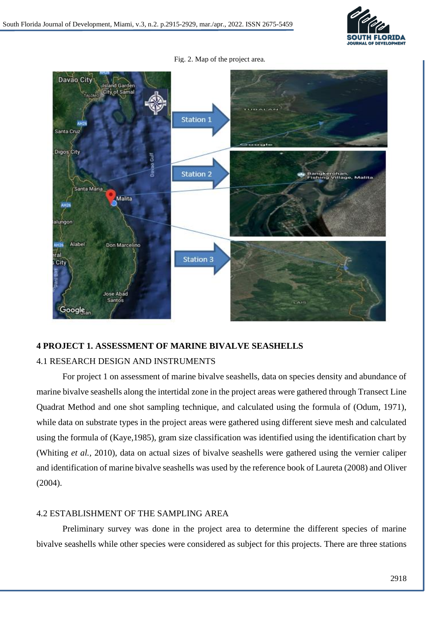

Fig. 2. Map of the project area.



# **4 PROJECT 1. ASSESSMENT OF MARINE BIVALVE SEASHELLS**

# 4.1 RESEARCH DESIGN AND INSTRUMENTS

For project 1 on assessment of marine bivalve seashells, data on species density and abundance of marine bivalve seashells along the intertidal zone in the project areas were gathered through Transect Line Quadrat Method and one shot sampling technique, and calculated using the formula of (Odum, 1971), while data on substrate types in the project areas were gathered using different sieve mesh and calculated using the formula of (Kaye,1985), gram size classification was identified using the identification chart by (Whiting *et al.,* 2010), data on actual sizes of bivalve seashells were gathered using the vernier caliper and identification of marine bivalve seashells was used by the reference book of Laureta (2008) and Oliver (2004).

### 4.2 ESTABLISHMENT OF THE SAMPLING AREA

Preliminary survey was done in the project area to determine the different species of marine bivalve seashells while other species were considered as subject for this projects. There are three stations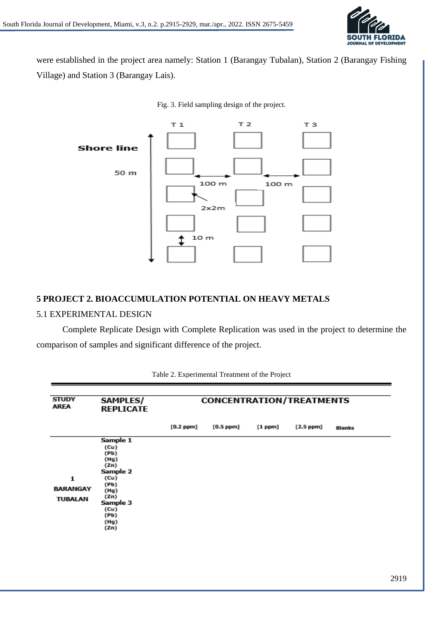

were established in the project area namely: Station 1 (Barangay Tubalan), Station 2 (Barangay Fishing Village) and Station 3 (Barangay Lais).



Fig. 3. Field sampling design of the project.

#### **5 PROJECT 2. BIOACCUMULATION POTENTIAL ON HEAVY METALS**

#### 5.1 EXPERIMENTAL DESIGN

Complete Replicate Design with Complete Replication was used in the project to determine the comparison of samples and significant difference of the project.

| <b>STUDY</b><br>AREA | <b>SAMPLES/</b><br><b>REPLICATE</b> | <b>CONCENTRATION/TREATMENTS</b> |             |              |             |               |  |
|----------------------|-------------------------------------|---------------------------------|-------------|--------------|-------------|---------------|--|
|                      |                                     | $[0.2$ ppm]                     | $[0.5$ ppm] | $[1$ ppm $]$ | $[2.5$ ppm] | <b>Blanks</b> |  |
|                      | Sample 1                            |                                 |             |              |             |               |  |
|                      | (Cu)<br>(Pb)                        |                                 |             |              |             |               |  |
|                      | (Hg)                                |                                 |             |              |             |               |  |
|                      | (Zn)<br>Sample 2                    |                                 |             |              |             |               |  |
| 1                    | (Cu)                                |                                 |             |              |             |               |  |
| <b>BARANGAY</b>      | (Pb)<br>(Hg)                        |                                 |             |              |             |               |  |
| TUBALAN              | (Zn)                                |                                 |             |              |             |               |  |
|                      | Sample 3<br>(Cu)                    |                                 |             |              |             |               |  |
|                      | (Pb)                                |                                 |             |              |             |               |  |
|                      | (Hg)<br>(Zn)                        |                                 |             |              |             |               |  |

Table 2. Experimental Treatment of the Project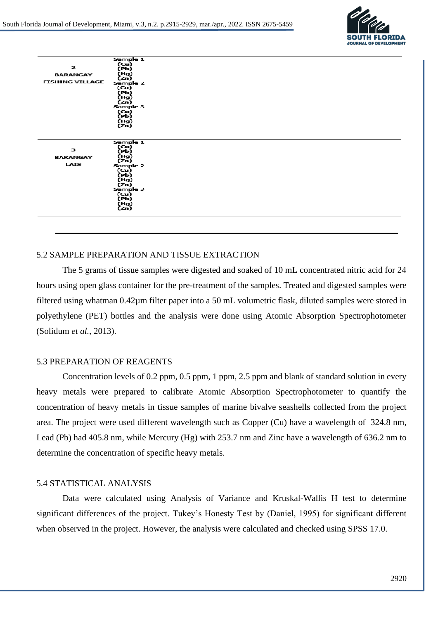

|                        | Sample 1         |
|------------------------|------------------|
| 2                      | (Сu)<br>(РЬ)     |
|                        |                  |
| <b>BARANGAY</b>        | (Hg)<br>(Zn)     |
| <b>FISHING VILLAGE</b> | Sample 2         |
|                        | (u)              |
|                        | (РЬ)             |
|                        | (Hg)<br>(Zn)     |
|                        | Sample 3         |
|                        | (Cu)             |
|                        | (Pb)<br>(Hg)     |
|                        | (Zn)             |
|                        |                  |
|                        |                  |
|                        | Sample 1         |
| з                      | (Cu)<br>(Pb)     |
| <b>BARANGAY</b>        | (Hg)             |
| LAIS                   | (Zn)             |
|                        | Sample 2         |
|                        | (Cu)<br>(РЬ)     |
|                        | (Hg)             |
|                        | (Zn)             |
|                        | Sample 3<br>(Cu) |
|                        | (Pb)             |
|                        | (Hg)             |
|                        | (Zn)             |
|                        |                  |
|                        |                  |
|                        |                  |

## 5.2 SAMPLE PREPARATION AND TISSUE EXTRACTION

The 5 grams of tissue samples were digested and soaked of 10 mL concentrated nitric acid for 24 hours using open glass container for the pre-treatment of the samples. Treated and digested samples were filtered using whatman 0.42µm filter paper into a 50 mL volumetric flask, diluted samples were stored in polyethylene (PET) bottles and the analysis were done using Atomic Absorption Spectrophotometer (Solidum *et al.,* 2013).

### 5.3 PREPARATION OF REAGENTS

Concentration levels of 0.2 ppm, 0.5 ppm, 1 ppm, 2.5 ppm and blank of standard solution in every heavy metals were prepared to calibrate Atomic Absorption Spectrophotometer to quantify the concentration of heavy metals in tissue samples of marine bivalve seashells collected from the project area. The project were used different wavelength such as Copper (Cu) have a wavelength of 324.8 nm, Lead (Pb) had 405.8 nm, while Mercury (Hg) with 253.7 nm and Zinc have a wavelength of 636.2 nm to determine the concentration of specific heavy metals.

#### 5.4 STATISTICAL ANALYSIS

Data were calculated using Analysis of Variance and Kruskal-Wallis H test to determine significant differences of the project. Tukey's Honesty Test by (Daniel, 1995) for significant different when observed in the project. However, the analysis were calculated and checked using SPSS 17.0.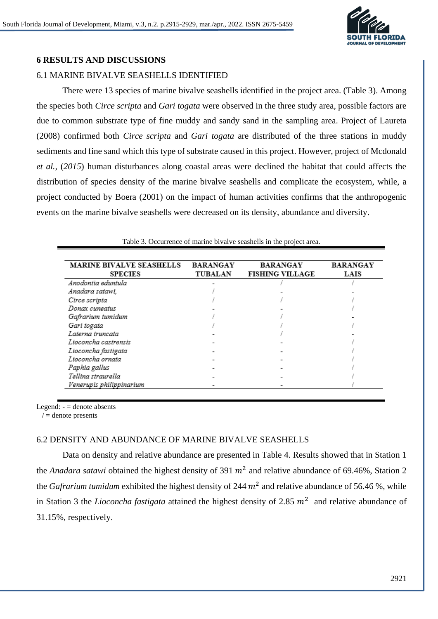

# **6 RESULTS AND DISCUSSIONS**

# 6.1 MARINE BIVALVE SEASHELLS IDENTIFIED

There were 13 species of marine bivalve seashells identified in the project area. (Table 3). Among the species both *Circe scripta* and *Gari togata* were observed in the three study area, possible factors are due to common substrate type of fine muddy and sandy sand in the sampling area. Project of Laureta (2008) confirmed both *Circe scripta* and *Gari togata* are distributed of the three stations in muddy sediments and fine sand which this type of substrate caused in this project. However, project of Mcdonald *et al.,* (*2015*) human disturbances along coastal areas were declined the habitat that could affects the distribution of species density of the marine bivalve seashells and complicate the ecosystem, while, a project conducted by Boera (2001) on the impact of human activities confirms that the anthropogenic events on the marine bivalve seashells were decreased on its density, abundance and diversity.

| Table 3. Occurrence of marine bivalve seashells in the project area. |                 |                        |                 |  |  |  |  |
|----------------------------------------------------------------------|-----------------|------------------------|-----------------|--|--|--|--|
|                                                                      |                 |                        |                 |  |  |  |  |
| <b>MARINE BIVALVE SEASHELLS</b>                                      | <b>BARANGAY</b> | <b>BARANGAY</b>        | <b>BARANGAY</b> |  |  |  |  |
| <b>SPECIES</b>                                                       | <b>TUBALAN</b>  | <b>FISHING VILLAGE</b> | LAIS            |  |  |  |  |
| Anodontia eduntula                                                   |                 |                        |                 |  |  |  |  |
| Anadara satawi,                                                      |                 |                        |                 |  |  |  |  |
| Circe scripta                                                        |                 |                        |                 |  |  |  |  |
| Donax cuneatus                                                       |                 |                        |                 |  |  |  |  |
| Gafrarium tumidum                                                    |                 |                        |                 |  |  |  |  |
| Gari togata                                                          |                 |                        |                 |  |  |  |  |
| Laterna truncata                                                     |                 |                        |                 |  |  |  |  |
| Lioconcha castrensis                                                 |                 |                        |                 |  |  |  |  |
| Lioconcha fastigata                                                  |                 |                        |                 |  |  |  |  |
| Lioconcha ornata                                                     |                 |                        |                 |  |  |  |  |
| Paphia gallus                                                        |                 |                        |                 |  |  |  |  |
| Tellina straurella                                                   |                 |                        |                 |  |  |  |  |
| Venerupis philippinarium                                             |                 |                        |                 |  |  |  |  |

Table 3. Occurrence of marine bivalve seashells in the project area.

Legend:  $=$  denote absents

 $/ =$  denote presents

#### 6.2 DENSITY AND ABUNDANCE OF MARINE BIVALVE SEASHELLS

Data on density and relative abundance are presented in Table 4. Results showed that in Station 1 the *Anadara satawi* obtained the highest density of 391  $m^2$  and relative abundance of 69.46%, Station 2 the *Gafrarium tumidum* exhibited the highest density of 244  $m^2$  and relative abundance of 56.46 %, while in Station 3 the *Lioconcha fastigata* attained the highest density of 2.85  $m^2$  and relative abundance of 31.15%, respectively.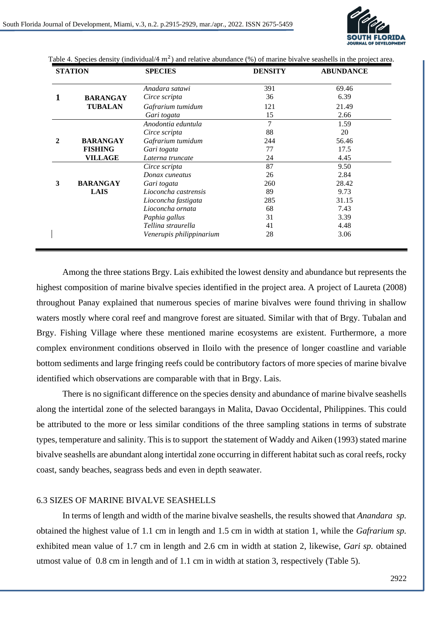

| <b>STATION</b> |                                    | <b>SPECIES</b>           | <b>DENSITY</b> | <b>ABUNDANCE</b> |  |
|----------------|------------------------------------|--------------------------|----------------|------------------|--|
|                |                                    | Anadara satawi           | 391            | 69.46            |  |
|                | <b>BARANGAY</b>                    | Circe scripta            | 36             | 6.39             |  |
|                | <b>TUBALAN</b>                     | Gafrarium tumidum        | 121            | 21.49            |  |
|                |                                    | Gari togata              | 15             | 2.66             |  |
|                |                                    | Anodontia eduntula       | 7              | 1.59             |  |
|                |                                    | Circe scripta            | 88             | 20               |  |
| 2              | <b>BARANGAY</b>                    | Gafrarium tumidum        | 244            | 56.46            |  |
|                | <b>FISHING</b>                     | Gari togata              | 77             | 17.5             |  |
|                | <b>VILLAGE</b><br>Laterna truncate |                          | 24             | 4.45             |  |
|                |                                    | Circe scripta            | 87             | 9.50             |  |
|                |                                    | Donax cuneatus           | 26             | 2.84             |  |
| 3              | <b>BARANGAY</b>                    | Gari togata              | 260            | 28.42            |  |
|                | <b>LAIS</b>                        | Lioconcha castrensis     | 89             | 9.73             |  |
|                |                                    | Lioconcha fastigata      | 285            | 31.15            |  |
|                |                                    | Lioconcha ornata         | 68             | 7.43             |  |
|                |                                    | Paphia gallus            | 31             | 3.39             |  |
|                |                                    | Tellina straurella       | 41             | 4.48             |  |
|                |                                    | Venerupis philippinarium | 28             | 3.06             |  |

Table 4. Species density (individual/4  $m^2$ ) and relative abundance (%) of marine bivalve seashells in the project area.

Among the three stations Brgy. Lais exhibited the lowest density and abundance but represents the highest composition of marine bivalve species identified in the project area. A project of Laureta (2008) throughout Panay explained that numerous species of marine bivalves were found thriving in shallow waters mostly where coral reef and mangrove forest are situated. Similar with that of Brgy. Tubalan and Brgy. Fishing Village where these mentioned marine ecosystems are existent. Furthermore, a more complex environment conditions observed in Iloilo with the presence of longer coastline and variable bottom sediments and large fringing reefs could be contributory factors of more species of marine bivalve identified which observations are comparable with that in Brgy. Lais.

There is no significant difference on the species density and abundance of marine bivalve seashells along the intertidal zone of the selected barangays in Malita, Davao Occidental, Philippines. This could be attributed to the more or less similar conditions of the three sampling stations in terms of substrate types, temperature and salinity. This is to support the statement of Waddy and Aiken (1993) stated marine bivalve seashells are abundant along intertidal zone occurring in different habitat such as coral reefs, rocky coast, sandy beaches, seagrass beds and even in depth seawater.

#### 6.3 SIZES OF MARINE BIVALVE SEASHELLS

In terms of length and width of the marine bivalve seashells, the results showed that *Anandara sp.*  obtained the highest value of 1.1 cm in length and 1.5 cm in width at station 1, while the *Gafrarium sp.*  exhibited mean value of 1.7 cm in length and 2.6 cm in width at station 2, likewise, *Gari sp.* obtained utmost value of 0.8 cm in length and of 1.1 cm in width at station 3, respectively (Table 5).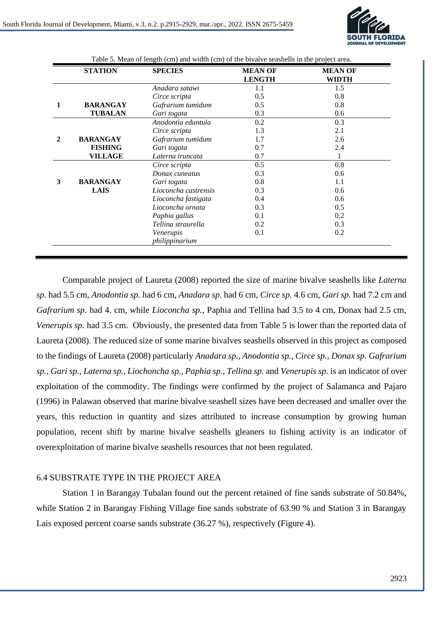

| <b>STATION</b>       | <b>SPECIES</b>              | <b>MEAN OF</b><br><b>LENGTH</b> | <b>MEAN OF</b><br>WIDTH |
|----------------------|-----------------------------|---------------------------------|-------------------------|
|                      | Anadara satawi              | $1.1\,$                         | 1.5                     |
|                      | Circe scripta               | 0.5                             | 0.8                     |
| <b>BARANGAY</b>      | Gafrarium tumidum           | 0.5                             | 0.8                     |
| <b>TUBALAN</b>       | Gari togata                 | 0.3                             | 0.6                     |
|                      | Anodontia eduntula          | 0.2                             | 0.3                     |
|                      | Circe scripta               | 1.3                             | 2.1                     |
| <b>BARANGAY</b>      | Gafrarium tumidum           | 1.7                             | 2.6                     |
| <b>FISHING</b>       | Gari togata                 | 0.7                             | 2.4                     |
| <b>VILLAGE</b>       | Laterna truncata            | 0.7                             | 1                       |
|                      | Circe scripta               | 0.5                             | 0.8                     |
|                      | Donax cuneatus              | 0.3                             | 0.6                     |
| 3<br><b>BARANGAY</b> | Gari togata                 | 0.8                             | 1.1                     |
| <b>LAIS</b>          | Lioconcha castrensis        | 0.3                             | 0.6                     |
|                      | Lioconcha fastigata         | 0.4                             | 0.6                     |
|                      | Lioconcha ornata            | 0.3                             | 0.5                     |
|                      | Paphia gallus               | 0.1                             | 0.2                     |
|                      | Tellina straurella          | 0.2                             | 0.3                     |
|                      | Venerupis<br>philippinarium | 0.1                             | 0.2                     |

Comparable project of Laureta (2008) reported the size of marine bivalve seashells like *Laterna sp.* had 5.5 cm, *Anodontia sp.* had 6 cm, *Anadara sp*. had 6 cm, *Circe sp.* 4.6 cm, *Gari sp.* had 7.2 cm and *Gafrarium sp.* had 4. cm, while *Lioconcha sp.*, Paphia and Tellina had 3.5 to 4 cm, Donax had 2.5 cm, *Venerupis sp.* had 3.5 cm. Obviously, the presented data from Table 5 is lower than the reported data of Laureta (2008). The reduced size of some marine bivalves seashells observed in this project as composed to the findings of Laureta (2008) particularly *Anadara sp., Anodontia sp., Circe sp., Donax sp. Gafrarium sp., Gari sp., Laterna sp., Liochoncha sp., Paphia sp., Tellina sp.* and *Venerupis sp.* is an indicator of over exploitation of the commodity. The findings were confirmed by the project of Salamanca and Pajaro (1996) in Palawan observed that marine bivalve seashell sizes have been decreased and smaller over the years, this reduction in quantity and sizes attributed to increase consumption by growing human population, recent shift by marine bivalve seashells gleaners to fishing activity is an indicator of overexploitation of marine bivalve seashells resources that not been regulated.

#### 6.4 SUBSTRATE TYPE IN THE PROJECT AREA

Station 1 in Barangay Tubalan found out the percent retained of fine sands substrate of 50.84%, while Station 2 in Barangay Fishing Village fine sands substrate of 63.90 % and Station 3 in Barangay Lais exposed percent coarse sands substrate (36.27 %), respectively (Figure 4).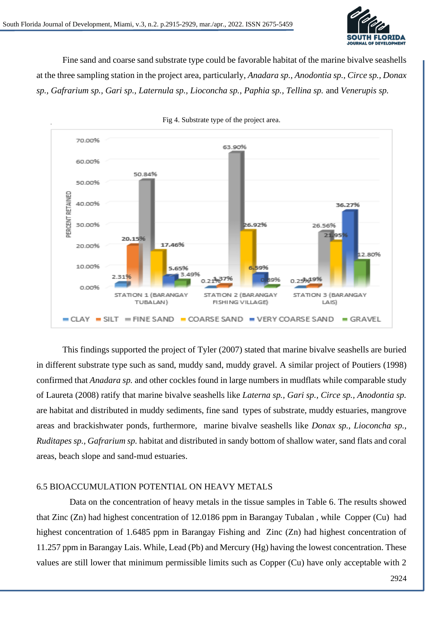

Fine sand and coarse sand substrate type could be favorable habitat of the marine bivalve seashells at the three sampling station in the project area, particularly, *Anadara sp., Anodontia sp., Circe sp., Donax sp., Gafrarium sp., Gari sp., Laternula sp., Lioconcha sp., Paphia sp., Tellina sp.* and *Venerupis sp.* 



Fig 4. Substrate type of the project area.

This findings supported the project of Tyler (2007) stated that marine bivalve seashells are buried in different substrate type such as sand, muddy sand, muddy gravel. A similar project of Poutiers (1998) confirmed that *Anadara sp.* and other cockles found in large numbers in mudflats while comparable study of Laureta (2008) ratify that marine bivalve seashells like *Laterna sp., Gari sp., Circe sp., Anodontia sp.*  are habitat and distributed in muddy sediments, fine sand types of substrate, muddy estuaries, mangrove areas and brackishwater ponds, furthermore, marine bivalve seashells like *Donax sp., Lioconcha sp., Ruditapes sp., Gafrarium sp.* habitat and distributed in sandy bottom of shallow water, sand flats and coral areas, beach slope and sand-mud estuaries.

#### 6.5 BIOACCUMULATION POTENTIAL ON HEAVY METALS

Data on the concentration of heavy metals in the tissue samples in Table 6. The results showed that Zinc (Zn) had highest concentration of 12.0186 ppm in Barangay Tubalan , while Copper (Cu) had highest concentration of 1.6485 ppm in Barangay Fishing and Zinc (Zn) had highest concentration of 11.257 ppm in Barangay Lais. While, Lead (Pb) and Mercury (Hg) having the lowest concentration. These values are still lower that minimum permissible limits such as Copper (Cu) have only acceptable with 2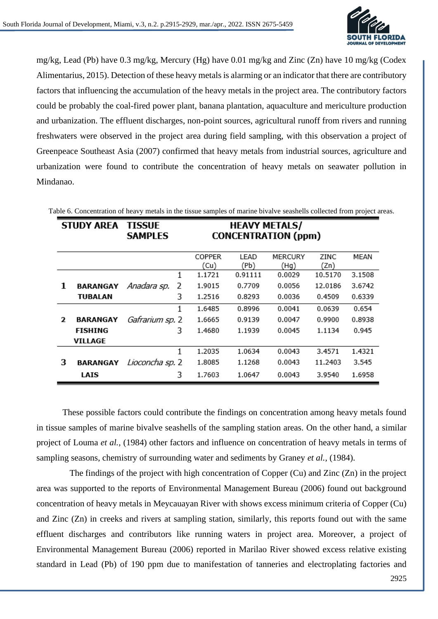

mg/kg, Lead (Pb) have 0.3 mg/kg, Mercury (Hg) have 0.01 mg/kg and Zinc (Zn) have 10 mg/kg (Codex Alimentarius, 2015). Detection of these heavy metals is alarming or an indicator that there are contributory factors that influencing the accumulation of the heavy metals in the project area. The contributory factors could be probably the coal-fired power plant, banana plantation, aquaculture and mericulture production and urbanization. The effluent discharges, non-point sources, agricultural runoff from rivers and running freshwaters were observed in the project area during field sampling, with this observation a project of Greenpeace Southeast Asia (2007) confirmed that heavy metals from industrial sources, agriculture and urbanization were found to contribute the concentration of heavy metals on seawater pollution in Mindanao.

|              | <b>STUDY AREA</b> | TISSUE<br><b>SAMPLES</b> |   | <b>HEAVY METALS/</b><br><b>CONCENTRATION (ppm)</b> |              |                 |              |        |
|--------------|-------------------|--------------------------|---|----------------------------------------------------|--------------|-----------------|--------------|--------|
|              |                   |                          |   | <b>COPPER</b><br>(Cu)                              | LEAD<br>(Pb) | MERCURY<br>(Hg) | ZINC<br>(Zn) | MEAN   |
|              |                   |                          | 1 | 1.1721                                             | 0.91111      | 0.0029          | 10.5170      | 3.1508 |
| 1            | <b>BARANGAY</b>   | Anadara sp.              | 2 | 1.9015                                             | 0.7709       | 0.0056          | 12.0186      | 3.6742 |
|              | TUBALAN           |                          | 3 | 1.2516                                             | 0.8293       | 0.0036          | 0.4509       | 0.6339 |
|              |                   |                          | 1 | 1.6485                                             | 0.8996       | 0.0041          | 0.0639       | 0.654  |
| $\mathbf{z}$ | BARANGAY          | Gafrarium sp. 2          |   | 1.6665                                             | 0.9139       | 0.0047          | 0.9900       | 0.8938 |
|              | FISHING           |                          | 3 | 1.4680                                             | 1.1939       | 0.0045          | 1.1134       | 0.945  |
|              | VILLAGE           |                          |   |                                                    |              |                 |              |        |
|              |                   |                          | 1 | 1.2035                                             | 1.0634       | 0.0043          | 3.4571       | 1.4321 |
| з            | <b>BARANGAY</b>   | Lioconcha sp. 2          |   | 1.8085                                             | 1.1268       | 0.0043          | 11.2403      | 3.545  |
|              | LAIS              |                          | 3 | 1.7603                                             | 1.0647       | 0.0043          | 3.9540       | 1.6958 |

Table 6. Concentration of heavy metals in the tissue samples of marine bivalve seashells collected from project areas.

These possible factors could contribute the findings on concentration among heavy metals found in tissue samples of marine bivalve seashells of the sampling station areas. On the other hand, a similar project of Louma *et al.,* (1984) other factors and influence on concentration of heavy metals in terms of sampling seasons, chemistry of surrounding water and sediments by Graney *et al.,* (1984).

The findings of the project with high concentration of Copper (Cu) and Zinc (Zn) in the project area was supported to the reports of Environmental Management Bureau (2006) found out background concentration of heavy metals in Meycauayan River with shows excess minimum criteria of Copper (Cu) and Zinc (Zn) in creeks and rivers at sampling station, similarly, this reports found out with the same effluent discharges and contributors like running waters in project area. Moreover, a project of Environmental Management Bureau (2006) reported in Marilao River showed excess relative existing standard in Lead (Pb) of 190 ppm due to manifestation of tanneries and electroplating factories and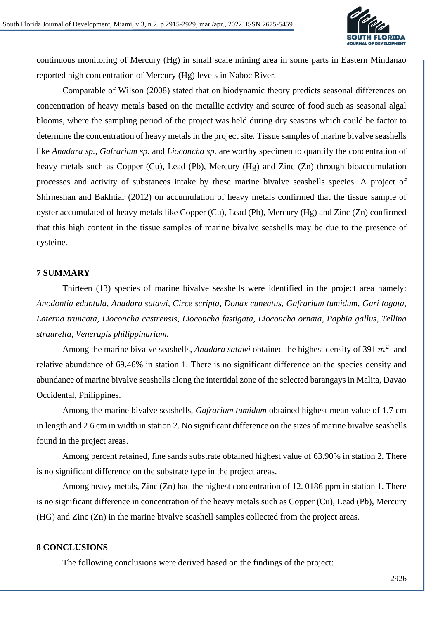

continuous monitoring of Mercury (Hg) in small scale mining area in some parts in Eastern Mindanao reported high concentration of Mercury (Hg) levels in Naboc River.

Comparable of Wilson (2008) stated that on biodynamic theory predicts seasonal differences on concentration of heavy metals based on the metallic activity and source of food such as seasonal algal blooms, where the sampling period of the project was held during dry seasons which could be factor to determine the concentration of heavy metals in the project site. Tissue samples of marine bivalve seashells like *Anadara sp., Gafrarium sp.* and *Lioconcha sp.* are worthy specimen to quantify the concentration of heavy metals such as Copper (Cu), Lead (Pb), Mercury (Hg) and Zinc (Zn) through bioaccumulation processes and activity of substances intake by these marine bivalve seashells species. A project of Shirneshan and Bakhtiar (2012) on accumulation of heavy metals confirmed that the tissue sample of oyster accumulated of heavy metals like Copper (Cu), Lead (Pb), Mercury (Hg) and Zinc (Zn) confirmed that this high content in the tissue samples of marine bivalve seashells may be due to the presence of cysteine.

#### **7 SUMMARY**

Thirteen (13) species of marine bivalve seashells were identified in the project area namely: *Anodontia eduntula, Anadara satawi, Circe scripta, Donax cuneatus, Gafrarium tumidum, Gari togata, Laterna truncata, Lioconcha castrensis, Lioconcha fastigata, Lioconcha ornata, Paphia gallus, Tellina straurella, Venerupis philippinarium.*

Among the marine bivalve seashells, *Anadara satawi* obtained the highest density of 391  $m^2$  and relative abundance of 69.46% in station 1. There is no significant difference on the species density and abundance of marine bivalve seashells along the intertidal zone of the selected barangays in Malita, Davao Occidental, Philippines.

Among the marine bivalve seashells, *Gafrarium tumidum* obtained highest mean value of 1.7 cm in length and 2.6 cm in width in station 2. No significant difference on the sizes of marine bivalve seashells found in the project areas.

Among percent retained, fine sands substrate obtained highest value of 63.90% in station 2. There is no significant difference on the substrate type in the project areas.

Among heavy metals, Zinc  $(Zn)$  had the highest concentration of 12, 0186 ppm in station 1. There is no significant difference in concentration of the heavy metals such as Copper (Cu), Lead (Pb), Mercury (HG) and Zinc (Zn) in the marine bivalve seashell samples collected from the project areas.

#### **8 CONCLUSIONS**

The following conclusions were derived based on the findings of the project: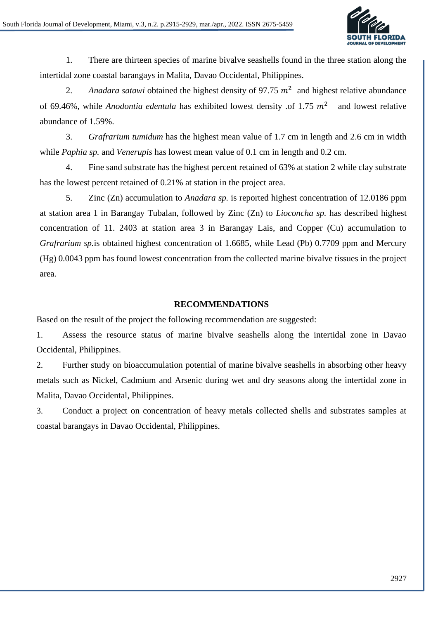

1. There are thirteen species of marine bivalve seashells found in the three station along the intertidal zone coastal barangays in Malita, Davao Occidental, Philippines.

2. Anadara satawi obtained the highest density of 97.75  $m^2$  and highest relative abundance of 69.46%, while *Anodontia edentula* has exhibited lowest density of 1.75  $m^2$  and lowest relative abundance of 1.59%.

3. *Grafrarium tumidum* has the highest mean value of 1.7 cm in length and 2.6 cm in width while *Paphia sp.* and *Venerupis* has lowest mean value of 0.1 cm in length and 0.2 cm.

4. Fine sand substrate has the highest percent retained of 63% at station 2 while clay substrate has the lowest percent retained of 0.21% at station in the project area.

5. Zinc (Zn) accumulation to *Anadara sp.* is reported highest concentration of 12.0186 ppm at station area 1 in Barangay Tubalan, followed by Zinc (Zn) to *Lioconcha sp.* has described highest concentration of 11. 2403 at station area 3 in Barangay Lais, and Copper (Cu) accumulation to *Grafrarium sp.*is obtained highest concentration of 1.6685, while Lead (Pb) 0.7709 ppm and Mercury (Hg) 0.0043 ppm has found lowest concentration from the collected marine bivalve tissues in the project area.

### **RECOMMENDATIONS**

Based on the result of the project the following recommendation are suggested:

1. Assess the resource status of marine bivalve seashells along the intertidal zone in Davao Occidental, Philippines.

2. Further study on bioaccumulation potential of marine bivalve seashells in absorbing other heavy metals such as Nickel, Cadmium and Arsenic during wet and dry seasons along the intertidal zone in Malita, Davao Occidental, Philippines.

3. Conduct a project on concentration of heavy metals collected shells and substrates samples at coastal barangays in Davao Occidental, Philippines.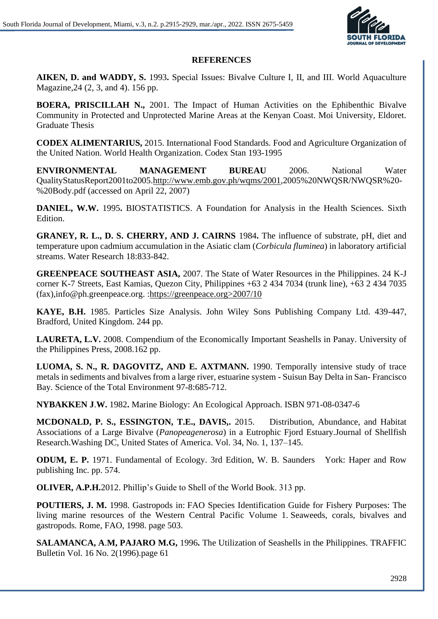

## **REFERENCES**

**AIKEN, D. and WADDY, S.** 1993**.** Special Issues: Bivalve Culture I, II, and III. World Aquaculture Magazine,24 (2, 3, and 4). 156 pp.

**BOERA, PRISCILLAH N.,** 2001. The Impact of Human Activities on the Ephibenthic Bivalve Community in Protected and Unprotected Marine Areas at the Kenyan Coast. Moi University, Eldoret. Graduate Thesis

**CODEX ALIMENTARIUS,** 2015. International Food Standards. Food and Agriculture Organization of the United Nation. World Health Organization. Codex Stan 193-1995

**ENVIRONMENTAL MANAGEMENT BUREAU** 2006. National Water QualityStatusReport2001to2005[.http://www.emb.gov.ph/wqms/2001,](http://www.emb.gov.ph/wqms/2001)2005%20NWQSR/NWQSR%20- %20Body.pdf (accessed on April 22, 2007)

**DANIEL, W.W.** 1995**.** BIOSTATISTICS. A Foundation for Analysis in the Health Sciences. Sixth Edition.

**GRANEY, R. L., D. S. CHERRY, AND J. CAIRNS** 1984**.** The influence of substrate, pH, diet and temperature upon cadmium accumulation in the Asiatic clam (*Corbicula fluminea*) in laboratory artificial streams. Water Research 18:833-842.

**GREENPEACE SOUTHEAST ASIA,** 2007. The State of Water Resources in the Philippines. 24 K-J corner K-7 Streets, East Kamias, Quezon City, Philippines +63 2 434 7034 (trunk line), +63 2 434 7035 (fax),info@ph.greenpeace.org. :https://greenpeace.org>2007/10

**KAYE, B.H.** 1985. Particles Size Analysis. John Wiley Sons Publishing Company Ltd. 439-447, Bradford, United Kingdom. 244 pp.

**LAURETA, L.V.** 2008. Compendium of the Economically Important Seashells in Panay. University of the Philippines Press, 2008.162 pp.

**LUOMA, S. N., R. DAGOVITZ, AND E. AXTMANN.** 1990. Temporally intensive study of trace metals in sediments and bivalves from a large river, estuarine system - Suisun Bay Delta in San- Francisco Bay. Science of the Total Environment 97-8:685-712.

**NYBAKKEN J**.**W.** 1982**.** Marine Biology: An Ecological Approach. ISBN 971-08-0347-6

**MCDONALD, P. S., ESSINGTON, T.E., DAVIS,.** 2015. Distribution, Abundance, and Habitat Associations of a Large Bivalve (*Panopeagenerosa*) in a Eutrophic Fjord Estuary.Journal of Shellfish Research.Washing DC, United States of America. Vol. 34, No. 1, 137–145.

**ODUM, E. P.** 1971. Fundamental of Ecology. 3rd Edition, W. B. Saunders York: Haper and Row publishing Inc. pp. 574.

**OLIVER, A.P.H.**2012. Phillip's Guide to Shell of the World Book. 313 pp.

**POUTIERS, J. M.** 1998. Gastropods in: FAO Species Identification Guide for Fishery Purposes: The living marine resources of the Western Central Pacific Volume 1. Seaweeds, corals, bivalves and gastropods. Rome, FAO, 1998. page 503.

**SALAMANCA, A**.**M, PAJARO M.G,** 1996**.** The Utilization of Seashells in the Philippines. TRAFFIC Bulletin Vol. 16 No. 2(1996).page 61